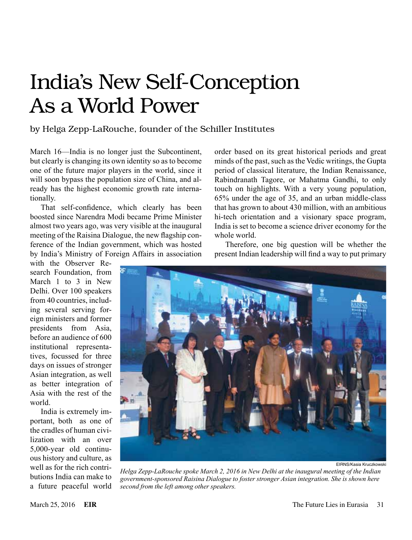## India's New Self-Conception As a World Power

## by Helga Zepp-LaRouche, founder of the Schiller Institutes

March 16—India is no longer just the Subcontinent, but clearly is changing its own identity so as to become one of the future major players in the world, since it will soon bypass the population size of China, and already has the highest economic growth rate internationally.

That self-confidence, which clearly has been boosted since Narendra Modi became Prime Minister almost two years ago, was very visible at the inaugural meeting of the Raisina Dialogue, the new flagship conference of the Indian government, which was hosted by India's Ministry of Foreign Affairs in association

with the Observer Research Foundation, from March 1 to 3 in New Delhi. Over 100 speakers from 40 countries, including several serving foreign ministers and former presidents from Asia, before an audience of 600 institutional representatives, focussed for three days on issues of stronger Asian integration, as well as better integration of Asia with the rest of the world.

India is extremely important, both as one of the cradles of human civilization with an over 5,000-year old continuous history and culture, as well as for the rich contributions India can make to a future peaceful world

order based on its great historical periods and great minds of the past, such as the Vedic writings, the Gupta period of classical literature, the Indian Renaissance, Rabindranath Tagore, or Mahatma Gandhi, to only touch on highlights. With a very young population, 65% under the age of 35, and an urban middle-class that has grown to about 430 million, with an ambitious hi-tech orientation and a visionary space program, India is set to become a science driver economy for the whole world.

Therefore, one big question will be whether the present Indian leadership will find a way to put primary



EIRNS/Kasia Kruczkowski

*Helga Zepp-LaRouche spoke March 2, 2016 in New Delhi at the inaugural meeting of the Indian government-sponsored Raisina Dialogue to foster stronger Asian integration. She is shown here second from the left among other speakers.*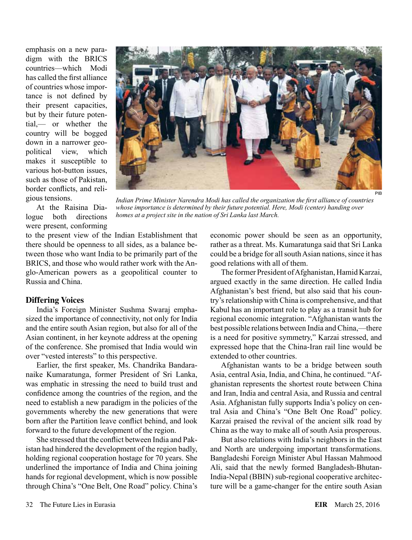emphasis on a new paradigm with the BRICS countries—which Modi has called the first alliance of countries whose importance is not defined by their present capacities, but by their future potential,— or whether the country will be bogged down in a narrower geopolitical view, which makes it susceptible to various hot-button issues, such as those of Pakistan, border conflicts, and religious tensions.



At the Raisina Dialogue both directions were present, conforming

*Indian Prime Minister Narendra Modi has called the organization the first alliance of countries whose importance is determined by their future potential. Here, Modi (center) handing over homes at a project site in the nation of Sri Lanka last March.*

to the present view of the Indian Establishment that there should be openness to all sides, as a balance between those who want India to be primarily part of the BRICS, and those who would rather work with the Anglo-American powers as a geopolitical counter to Russia and China.

## **Differing Voices**

India's Foreign Minister Sushma Swaraj emphasized the importance of connectivity, not only for India and the entire south Asian region, but also for all of the Asian continent, in her keynote address at the opening of the conference. She promised that India would win over "vested interests" to this perspective.

Earlier, the first speaker, Ms. Chandrika Bandaranaike Kumaratunga, former President of Sri Lanka, was emphatic in stressing the need to build trust and confidence among the countries of the region, and the need to establish a new paradigm in the policies of the governments whereby the new generations that were born after the Partition leave conflict behind, and look forward to the future development of the region.

She stressed that the conflict between India and Pakistan had hindered the development of the region badly, holding regional cooperation hostage for 70 years. She underlined the importance of India and China joining hands for regional development, which is now possible through China's "One Belt, One Road" policy. China's economic power should be seen as an opportunity, rather as a threat. Ms. Kumaratunga said that Sri Lanka could be a bridge for all south Asian nations, since it has good relations with all of them.

The former President of Afghanistan, Hamid Karzai, argued exactly in the same direction. He called India Afghanistan's best friend, but also said that his country's relationship with China is comprehensive, and that Kabul has an important role to play as a transit hub for regional economic integration. "Afghanistan wants the best possible relations between India and China,—there is a need for positive symmetry," Karzai stressed, and expressed hope that the China-Iran rail line would be extended to other countries.

Afghanistan wants to be a bridge between south Asia, central Asia, India, and China, he continued. "Afghanistan represents the shortest route between China and Iran, India and central Asia, and Russia and central Asia. Afghanistan fully supports India's policy on central Asia and China's "One Belt One Road" policy. Karzai praised the revival of the ancient silk road by China as the way to make all of south Asia prosperous.

But also relations with India's neighbors in the East and North are undergoing important transformations. Bangladeshi Foreign Minister Abul Hassan Mahmood Ali, said that the newly formed Bangladesh-Bhutan-India-Nepal (BBIN) sub-regional cooperative architecture will be a game-changer for the entire south Asian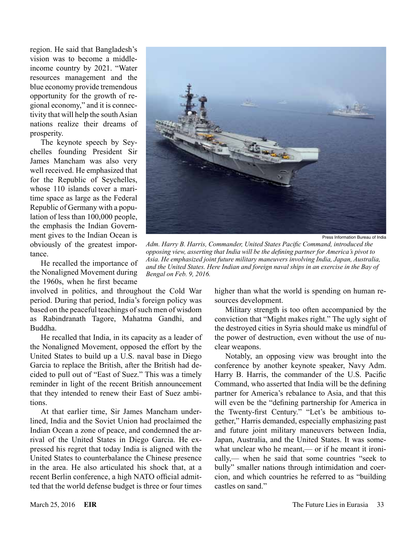region. He said that Bangladesh's vision was to become a middleincome country by 2021. "Water resources management and the blue economy provide tremendous opportunity for the growth of regional economy," and it is connectivity that will help the south Asian nations realize their dreams of prosperity.

The keynote speech by Seychelles founding President Sir James Mancham was also very well received. He emphasized that for the Republic of Seychelles, whose 110 islands cover a maritime space as large as the Federal Republic of Germany with a population of less than 100,000 people, the emphasis the Indian Government gives to the Indian Ocean is obviously of the greatest importance.

He recalled the importance of the Nonaligned Movement during the 1960s, when he first became

involved in politics, and throughout the Cold War period. During that period, India's foreign policy was based on the peaceful teachings of such men of wisdom as Rabindranath Tagore, Mahatma Gandhi, and Buddha.

He recalled that India, in its capacity as a leader of the Nonaligned Movement, opposed the effort by the United States to build up a U.S. naval base in Diego Garcia to replace the British, after the British had decided to pull out of "East of Suez." This was a timely reminder in light of the recent British announcement that they intended to renew their East of Suez ambitions.

At that earlier time, Sir James Mancham underlined, India and the Soviet Union had proclaimed the Indian Ocean a zone of peace, and condemned the arrival of the United States in Diego Garcia. He expressed his regret that today India is aligned with the United States to counterbalance the Chinese presence in the area. He also articulated his shock that, at a recent Berlin conference, a high NATO official admitted that the world defense budget is three or four times



Press Information Bureau of India

*Adm. Harry B. Harris, Commander, United States Pacific Command, introduced the opposing view, asserting that India will be the defining partner for America's pivot to Asia. He emphasized joint future military maneuvers involving India, Japan, Australia, and the United States. Here Indian and foreign naval ships in an exercise in the Bay of Bengal on Feb. 9, 2016.*

higher than what the world is spending on human resources development.

Military strength is too often accompanied by the conviction that "Might makes right." The ugly sight of the destroyed cities in Syria should make us mindful of the power of destruction, even without the use of nuclear weapons.

Notably, an opposing view was brought into the conference by another keynote speaker, Navy Adm. Harry B. Harris, the commander of the U.S. Pacific Command, who asserted that India will be the defining partner for America's rebalance to Asia, and that this will even be the "defining partnership for America in the Twenty-first Century." "Let's be ambitious together," Harris demanded, especially emphasizing past and future joint military maneuvers between India, Japan, Australia, and the United States. It was somewhat unclear who he meant,— or if he meant it ironically,— when he said that some countries "seek to bully" smaller nations through intimidation and coercion, and which countries he referred to as "building castles on sand."